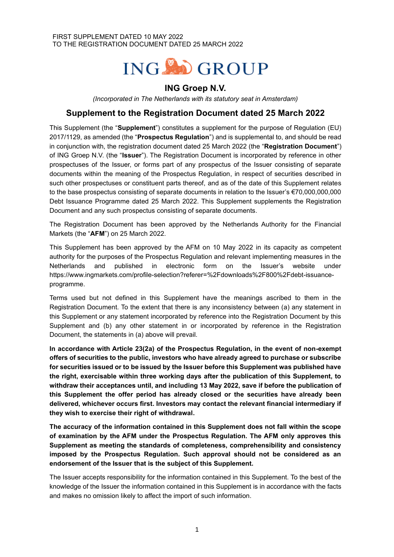# ING OGROUP

## **ING Groep N.V.**

*(Incorporated in The Netherlands with its statutory seat in Amsterdam)*

### **Supplement to the Registration Document dated 25 March 2022**

This Supplement (the "**Supplement**") constitutes a supplement for the purpose of Regulation (EU) 2017/1129, as amended (the "**Prospectus Regulation**") and is supplemental to, and should be read in conjunction with, the registration document dated 25 March 2022 (the "**Registration Document**") of ING Groep N.V. (the "**Issuer**"). The Registration Document is incorporated by reference in other prospectuses of the Issuer, or forms part of any prospectus of the Issuer consisting of separate documents within the meaning of the Prospectus Regulation, in respect of securities described in such other prospectuses or constituent parts thereof, and as of the date of this Supplement relates to the base prospectus consisting of separate documents in relation to the Issuer's €70,000,000,000 Debt Issuance Programme dated 25 March 2022. This Supplement supplements the Registration Document and any such prospectus consisting of separate documents.

The Registration Document has been approved by the Netherlands Authority for the Financial Markets (the "**AFM**") on 25 March 2022.

This Supplement has been approved by the AFM on 10 May 2022 in its capacity as competent authority for the purposes of the Prospectus Regulation and relevant implementing measures in the Netherlands and published in electronic form on the Issuer's website under https://www.ingmarkets.com/profile-selection?referer=%2Fdownloads%2F800%2Fdebt-issuanceprogramme.

Terms used but not defined in this Supplement have the meanings ascribed to them in the Registration Document. To the extent that there is any inconsistency between (a) any statement in this Supplement or any statement incorporated by reference into the Registration Document by this Supplement and (b) any other statement in or incorporated by reference in the Registration Document, the statements in (a) above will prevail.

**In accordance with Article 23(2a) of the Prospectus Regulation, in the event of non-exempt offers of securities to the public, investors who have already agreed to purchase or subscribe for securities issued or to be issued by the Issuer before this Supplement was published have the right, exercisable within three working days after the publication of this Supplement, to withdraw their acceptances until, and including 13 May 2022, save if before the publication of this Supplement the offer period has already closed or the securities have already been delivered, whichever occurs first. Investors may contact the relevant financial intermediary if they wish to exercise their right of withdrawal.**

**The accuracy of the information contained in this Supplement does not fall within the scope of examination by the AFM under the Prospectus Regulation. The AFM only approves this Supplement as meeting the standards of completeness, comprehensibility and consistency imposed by the Prospectus Regulation. Such approval should not be considered as an endorsement of the Issuer that is the subject of this Supplement.**

The Issuer accepts responsibility for the information contained in this Supplement. To the best of the knowledge of the Issuer the information contained in this Supplement is in accordance with the facts and makes no omission likely to affect the import of such information.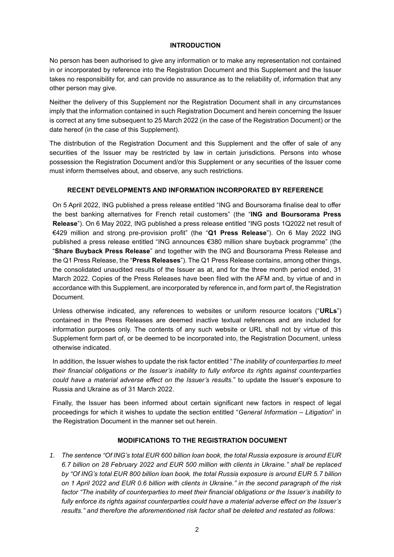#### **INTRODUCTION**

No person has been authorised to give any information or to make any representation not contained in or incorporated by reference into the Registration Document and this Supplement and the Issuer takes no responsibility for, and can provide no assurance as to the reliability of, information that any other person may give.

Neither the delivery of this Supplement nor the Registration Document shall in any circumstances imply that the information contained in such Registration Document and herein concerning the Issuer is correct at any time subsequent to 25 March 2022 (in the case of the Registration Document) or the date hereof (in the case of this Supplement).

The distribution of the Registration Document and this Supplement and the offer of sale of any securities of the Issuer may be restricted by law in certain jurisdictions. Persons into whose possession the Registration Document and/or this Supplement or any securities of the Issuer come must inform themselves about, and observe, any such restrictions.

#### **RECENT DEVELOPMENTS AND INFORMATION INCORPORATED BY REFERENCE**

On 5 April 2022, ING published a press release entitled "ING and Boursorama finalise deal to offer the best banking alternatives for French retail customers" (the "**ING and Boursorama Press Release**"). On 6 May 2022, ING published a press release entitled "ING posts 1Q2022 net result of €429 million and strong pre-provision profit" (the "**Q1 Press Release**"). On 6 May 2022 ING published a press release entitled "ING announces €380 million share buyback programme" (the "**Share Buyback Press Release**" and together with the ING and Boursorama Press Release and the Q1 Press Release, the "**Press Releases**"). The Q1 Press Release contains, among other things, the consolidated unaudited results of the Issuer as at, and for the three month period ended, 31 March 2022. Copies of the Press Releases have been filed with the AFM and, by virtue of and in accordance with this Supplement, are incorporated by reference in, and form part of, the Registration Document.

Unless otherwise indicated, any references to websites or uniform resource locators ("**URLs**") contained in the Press Releases are deemed inactive textual references and are included for information purposes only. The contents of any such website or URL shall not by virtue of this Supplement form part of, or be deemed to be incorporated into, the Registration Document, unless otherwise indicated.

In addition, the Issuer wishes to update the risk factor entitled "*The inability of counterparties to meet their financial obligations or the Issuer's inability to fully enforce its rights against counterparties could have a material adverse effect on the Issuer's results.*" to update the Issuer's exposure to Russia and Ukraine as of 31 March 2022.

Finally, the Issuer has been informed about certain significant new factors in respect of legal proceedings for which it wishes to update the section entitled "*General Information – Litigation*" in the Registration Document in the manner set out herein.

#### **MODIFICATIONS TO THE REGISTRATION DOCUMENT**

*1. The sentence "Of ING's total EUR 600 billion loan book, the total Russia exposure is around EUR 6.7 billion on 28 February 2022 and EUR 500 million with clients in Ukraine." shall be replaced by "Of ING's total EUR 800 billion loan book, the total Russia exposure is around EUR 5.7 billion on 1 April 2022 and EUR 0.6 billion with clients in Ukraine." in the second paragraph of the risk factor "The inability of counterparties to meet their financial obligations or the Issuer's inability to fully enforce its rights against counterparties could have a material adverse effect on the Issuer's results." and therefore the aforementioned risk factor shall be deleted and restated as follows:*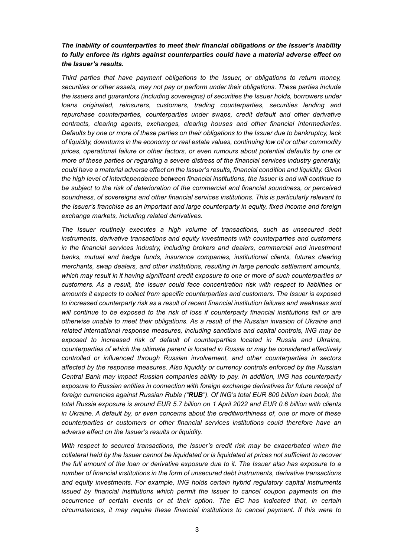#### *The inability of counterparties to meet their financial obligations or the Issuer's inability to fully enforce its rights against counterparties could have a material adverse effect on the Issuer's results.*

*Third parties that have payment obligations to the Issuer, or obligations to return money, securities or other assets, may not pay or perform under their obligations. These parties include the issuers and guarantors (including sovereigns) of securities the Issuer holds, borrowers under loans originated, reinsurers, customers, trading counterparties, securities lending and repurchase counterparties, counterparties under swaps, credit default and other derivative contracts, clearing agents, exchanges, clearing houses and other financial intermediaries. Defaults by one or more of these parties on their obligations to the Issuer due to bankruptcy, lack of liquidity, downturns in the economy or real estate values, continuing low oil or other commodity prices, operational failure or other factors, or even rumours about potential defaults by one or more of these parties or regarding a severe distress of the financial services industry generally, could have a material adverse effect on the Issuer's results, financial condition and liquidity. Given the high level of interdependence between financial institutions, the Issuer is and will continue to be subject to the risk of deterioration of the commercial and financial soundness, or perceived soundness, of sovereigns and other financial services institutions. This is particularly relevant to the Issuer's franchise as an important and large counterparty in equity, fixed income and foreign exchange markets, including related derivatives.*

*The Issuer routinely executes a high volume of transactions, such as unsecured debt instruments, derivative transactions and equity investments with counterparties and customers in the financial services industry, including brokers and dealers, commercial and investment banks, mutual and hedge funds, insurance companies, institutional clients, futures clearing merchants, swap dealers, and other institutions, resulting in large periodic settlement amounts, which may result in it having significant credit exposure to one or more of such counterparties or customers. As a result, the Issuer could face concentration risk with respect to liabilities or amounts it expects to collect from specific counterparties and customers. The Issuer is exposed to increased counterparty risk as a result of recent financial institution failures and weakness and will continue to be exposed to the risk of loss if counterparty financial institutions fail or are otherwise unable to meet their obligations. As a result of the Russian invasion of Ukraine and related international response measures, including sanctions and capital controls, ING may be exposed to increased risk of default of counterparties located in Russia and Ukraine, counterparties of which the ultimate parent is located in Russia or may be considered effectively controlled or influenced through Russian involvement, and other counterparties in sectors affected by the response measures. Also liquidity or currency controls enforced by the Russian Central Bank may impact Russian companies ability to pay. In addition, ING has counterparty exposure to Russian entities in connection with foreign exchange derivatives for future receipt of foreign currencies against Russian Ruble ("RUB"). Of ING's total EUR 800 billion loan book, the total Russia exposure is around EUR 5.7 billion on 1 April 2022 and EUR 0.6 billion with clients in Ukraine. A default by, or even concerns about the creditworthiness of, one or more of these counterparties or customers or other financial services institutions could therefore have an adverse effect on the Issuer's results or liquidity.*

*With respect to secured transactions, the Issuer's credit risk may be exacerbated when the collateral held by the Issuer cannot be liquidated or is liquidated at prices not sufficient to recover the full amount of the loan or derivative exposure due to it. The Issuer also has exposure to a number of financial institutions in the form of unsecured debt instruments, derivative transactions and equity investments. For example, ING holds certain hybrid regulatory capital instruments issued by financial institutions which permit the issuer to cancel coupon payments on the occurrence of certain events or at their option. The EC has indicated that, in certain circumstances, it may require these financial institutions to cancel payment. If this were to*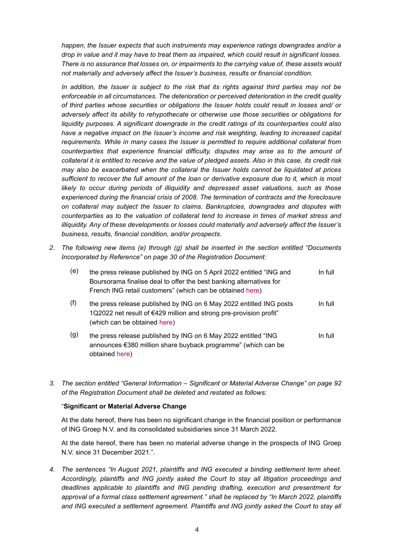*happen, the Issuer expects that such instruments may experience ratings downgrades and/or a drop in value and it may have to treat them as impaired, which could result in significant losses. There is no assurance that losses on, or impairments to the carrying value of, these assets would not materially and adversely affect the Issuer's business, results or financial condition.*

*In addition, the Issuer is subject to the risk that its rights against third parties may not be enforceable in all circumstances. The deterioration or perceived deterioration in the credit quality of third parties whose securities or obligations the Issuer holds could result in losses and/ or adversely affect its ability to rehypothecate or otherwise use those securities or obligations for liquidity purposes. A significant downgrade in the credit ratings of its counterparties could also*  have a negative impact on the Issuer's income and risk weighting, leading to increased capital *requirements. While in many cases the Issuer is permitted to require additional collateral from counterparties that experience financial difficulty, disputes may arise as to the amount of collateral it is entitled to receive and the value of pledged assets. Also in this case, its credit risk may also be exacerbated when the collateral the Issuer holds cannot be liquidated at prices sufficient to recover the full amount of the loan or derivative exposure due to it, which is most likely to occur during periods of illiquidity and depressed asset valuations, such as those experienced during the financial crisis of 2008. The termination of contracts and the foreclosure on collateral may subject the Issuer to claims. Bankruptcies, downgrades and disputes with counterparties as to the valuation of collateral tend to increase in times of market stress and illiquidity. Any of these developments or losses could materially and adversely affect the Issuer's business, results, financial condition, and/or prospects.*

*2. The following new items (e) through (g) shall be inserted in the section entitled "Documents Incorporated by Reference" on page 30 of the Registration Document:*

| (e) | the press release published by ING on 5 April 2022 entitled "ING and<br>Boursorama finalise deal to offer the best banking alternatives for<br>French ING retail customers" (which can be obtained here) | In full |
|-----|----------------------------------------------------------------------------------------------------------------------------------------------------------------------------------------------------------|---------|
| (f) | the press release published by ING on 6 May 2022 entitled ING posts<br>1Q2022 net result of €429 million and strong pre-provision profit"<br>(which can be obtained here)                                | In full |
| (g) | the press release published by ING on 6 May 2022 entitled "ING<br>announces €380 million share buyback programme" (which can be<br>obtained here)                                                        | In full |

*3. The section entitled "General Information – Significant or Material Adverse Change" on page 92 of the Registration Document shall be deleted and restated as follows:*

#### "**Significant or Material Adverse Change**

At the date hereof, there has been no significant change in the financial position or performance of ING Groep N.V. and its consolidated subsidiaries since 31 March 2022.

At the date hereof, there has been no material adverse change in the prospects of ING Groep N.V. since 31 December 2021.".

*4. The sentences "In August 2021, plaintiffs and ING executed a binding settlement term sheet. Accordingly, plaintiffs and ING jointly asked the Court to stay all litigation proceedings and deadlines applicable to plaintiffs and ING pending drafting, execution and presentment for approval of a formal class settlement agreement." shall be replaced by "In March 2022, plaintiffs*  and ING executed a settlement agreement. Plaintiffs and ING jointly asked the Court to stay all